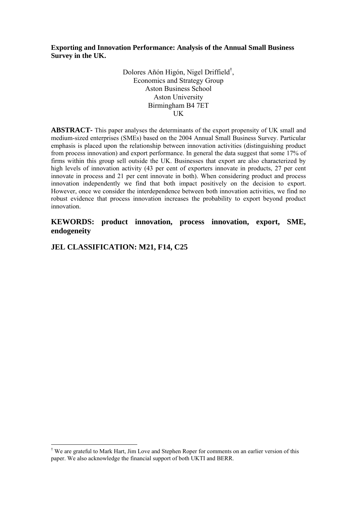**Exporting and Innovation Performance: Analysis of the Annual Small Business Survey in the UK.** 

> Dolores Añón Higón, Nigel Driffield† , Economics and Strategy Group Aston Business School Aston University Birmingham B4 7ET UK

**ABSTRACT-** This paper analyses the determinants of the export propensity of UK small and medium-sized enterprises (SMEs) based on the 2004 Annual Small Business Survey. Particular emphasis is placed upon the relationship between innovation activities (distinguishing product from process innovation) and export performance. In general the data suggest that some 17% of firms within this group sell outside the UK. Businesses that export are also characterized by high levels of innovation activity (43 per cent of exporters innovate in products, 27 per cent innovate in process and 21 per cent innovate in both). When considering product and process innovation independently we find that both impact positively on the decision to export. However, once we consider the interdependence between both innovation activities, we find no robust evidence that process innovation increases the probability to export beyond product innovation.

**KEWORDS: product innovation, process innovation, export, SME, endogeneity** 

**JEL CLASSIFICATION: M21, F14, C25** 

<u>.</u>

<sup>†</sup> We are grateful to Mark Hart, Jim Love and Stephen Roper for comments on an earlier version of this paper. We also acknowledge the financial support of both UKTI and BERR.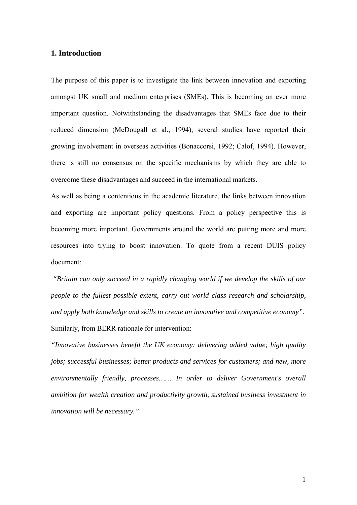## **1. Introduction**

The purpose of this paper is to investigate the link between innovation and exporting amongst UK small and medium enterprises (SMEs). This is becoming an ever more important question. Notwithstanding the disadvantages that SMEs face due to their reduced dimension (McDougall et al., 1994), several studies have reported their growing involvement in overseas activities (Bonaccorsi, 1992; Calof, 1994). However, there is still no consensus on the specific mechanisms by which they are able to overcome these disadvantages and succeed in the international markets.

As well as being a contentious in the academic literature, the links between innovation and exporting are important policy questions. From a policy perspective this is becoming more important. Governments around the world are putting more and more resources into trying to boost innovation. To quote from a recent DUIS policy document:

 *"Britain can only succeed in a rapidly changing world if we develop the skills of our people to the fullest possible extent, carry out world class research and scholarship, and apply both knowledge and skills to create an innovative and competitive economy".*  Similarly, from BERR rationale for intervention:

*"Innovative businesses benefit the UK economy: delivering added value; high quality jobs; successful businesses; better products and services for customers; and new, more environmentally friendly, processes…… In order to deliver Government's overall ambition for wealth creation and productivity growth, sustained business investment in innovation will be necessary."*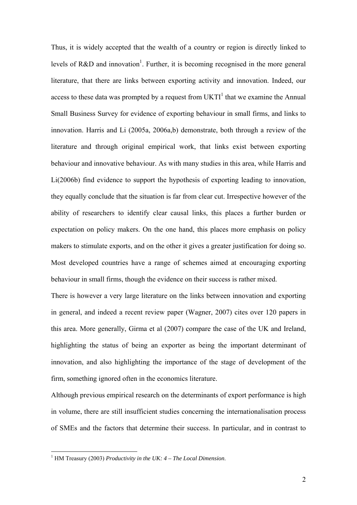Thus, it is widely accepted that the wealth of a country or region is directly linked to levels of R&D and innovation<sup>1</sup>. Further, it is becoming recognised in the more general literature, that there are links between exporting activity and innovation. Indeed, our access to these data was prompted by a request from  $UKTI<sup>1</sup>$  that we examine the Annual Small Business Survey for evidence of exporting behaviour in small firms, and links to innovation. Harris and Li (2005a, 2006a,b) demonstrate, both through a review of the literature and through original empirical work, that links exist between exporting behaviour and innovative behaviour. As with many studies in this area, while Harris and Li(2006b) find evidence to support the hypothesis of exporting leading to innovation, they equally conclude that the situation is far from clear cut. Irrespective however of the ability of researchers to identify clear causal links, this places a further burden or expectation on policy makers. On the one hand, this places more emphasis on policy makers to stimulate exports, and on the other it gives a greater justification for doing so. Most developed countries have a range of schemes aimed at encouraging exporting behaviour in small firms, though the evidence on their success is rather mixed.

There is however a very large literature on the links between innovation and exporting in general, and indeed a recent review paper (Wagner, 2007) cites over 120 papers in this area. More generally, Girma et al (2007) compare the case of the UK and Ireland, highlighting the status of being an exporter as being the important determinant of innovation, and also highlighting the importance of the stage of development of the firm, something ignored often in the economics literature.

Although previous empirical research on the determinants of export performance is high in volume, there are still insufficient studies concerning the internationalisation process of SMEs and the factors that determine their success. In particular, and in contrast to

 1 HM Treasury (2003) *Productivity in the UK: 4 – The Local Dimension*.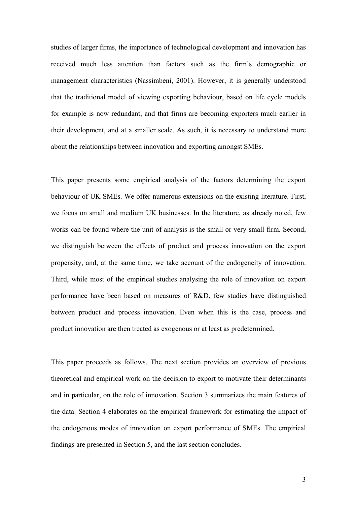studies of larger firms, the importance of technological development and innovation has received much less attention than factors such as the firm's demographic or management characteristics (Nassimbeni, 2001). However, it is generally understood that the traditional model of viewing exporting behaviour, based on life cycle models for example is now redundant, and that firms are becoming exporters much earlier in their development, and at a smaller scale. As such, it is necessary to understand more about the relationships between innovation and exporting amongst SMEs.

This paper presents some empirical analysis of the factors determining the export behaviour of UK SMEs. We offer numerous extensions on the existing literature. First, we focus on small and medium UK businesses. In the literature, as already noted, few works can be found where the unit of analysis is the small or very small firm. Second, we distinguish between the effects of product and process innovation on the export propensity, and, at the same time, we take account of the endogeneity of innovation. Third, while most of the empirical studies analysing the role of innovation on export performance have been based on measures of R&D, few studies have distinguished between product and process innovation. Even when this is the case, process and product innovation are then treated as exogenous or at least as predetermined.

This paper proceeds as follows. The next section provides an overview of previous theoretical and empirical work on the decision to export to motivate their determinants and in particular, on the role of innovation. Section 3 summarizes the main features of the data. Section 4 elaborates on the empirical framework for estimating the impact of the endogenous modes of innovation on export performance of SMEs. The empirical findings are presented in Section 5, and the last section concludes.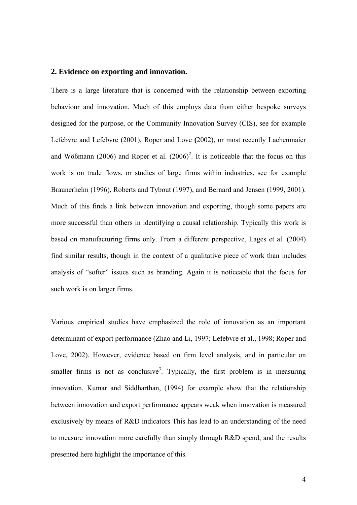### **2. Evidence on exporting and innovation.**

There is a large literature that is concerned with the relationship between exporting behaviour and innovation. Much of this employs data from either bespoke surveys designed for the purpose, or the Community Innovation Survey (CIS), see for example Lefebvre and Lefebvre (2001), Roper and Love **(**2002), or most recently Lachenmaier and Wößmann (2006) and Roper et al.  $(2006)^2$ . It is noticeable that the focus on this work is on trade flows, or studies of large firms within industries, see for example Braunerhelm (1996), Roberts and Tybout (1997), and Bernard and Jensen (1999, 2001). Much of this finds a link between innovation and exporting, though some papers are more successful than others in identifying a causal relationship. Typically this work is based on manufacturing firms only. From a different perspective, Lages et al. (2004) find similar results, though in the context of a qualitative piece of work than includes analysis of "softer" issues such as branding. Again it is noticeable that the focus for such work is on larger firms.

Various empirical studies have emphasized the role of innovation as an important determinant of export performance (Zhao and Li, 1997; Lefebvre et al., 1998; Roper and Love, 2002). However, evidence based on firm level analysis, and in particular on smaller firms is not as conclusive<sup>3</sup>. Typically, the first problem is in measuring innovation. Kumar and Siddharthan, (1994) for example show that the relationship between innovation and export performance appears weak when innovation is measured exclusively by means of R&D indicators This has lead to an understanding of the need to measure innovation more carefully than simply through R&D spend, and the results presented here highlight the importance of this.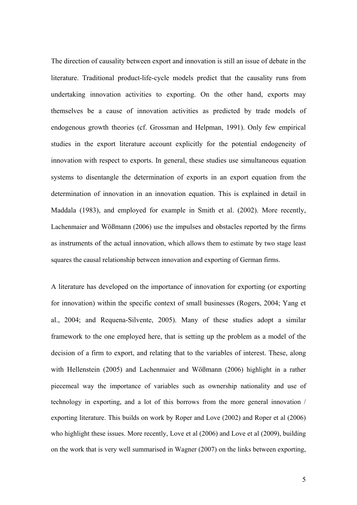The direction of causality between export and innovation is still an issue of debate in the literature. Traditional product-life-cycle models predict that the causality runs from undertaking innovation activities to exporting. On the other hand, exports may themselves be a cause of innovation activities as predicted by trade models of endogenous growth theories (cf. Grossman and Helpman, 1991). Only few empirical studies in the export literature account explicitly for the potential endogeneity of innovation with respect to exports. In general, these studies use simultaneous equation systems to disentangle the determination of exports in an export equation from the determination of innovation in an innovation equation. This is explained in detail in Maddala (1983), and employed for example in Smith et al. (2002). More recently, Lachenmaier and Wößmann (2006) use the impulses and obstacles reported by the firms as instruments of the actual innovation, which allows them to estimate by two stage least squares the causal relationship between innovation and exporting of German firms.

A literature has developed on the importance of innovation for exporting (or exporting for innovation) within the specific context of small businesses (Rogers, 2004; Yang et al., 2004; and Requena-Silvente, 2005). Many of these studies adopt a similar framework to the one employed here, that is setting up the problem as a model of the decision of a firm to export, and relating that to the variables of interest. These, along with Hellenstein (2005) and Lachenmaier and Wößmann (2006) highlight in a rather piecemeal way the importance of variables such as ownership nationality and use of technology in exporting, and a lot of this borrows from the more general innovation / exporting literature. This builds on work by Roper and Love (2002) and Roper et al (2006) who highlight these issues. More recently, Love et al (2006) and Love et al (2009), building on the work that is very well summarised in Wagner (2007) on the links between exporting,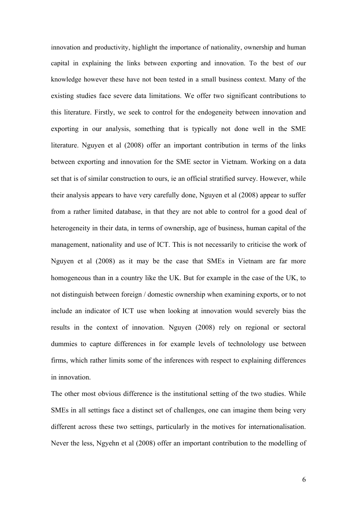innovation and productivity, highlight the importance of nationality, ownership and human capital in explaining the links between exporting and innovation. To the best of our knowledge however these have not been tested in a small business context. Many of the existing studies face severe data limitations. We offer two significant contributions to this literature. Firstly, we seek to control for the endogeneity between innovation and exporting in our analysis, something that is typically not done well in the SME literature. Nguyen et al (2008) offer an important contribution in terms of the links between exporting and innovation for the SME sector in Vietnam. Working on a data set that is of similar construction to ours, ie an official stratified survey. However, while their analysis appears to have very carefully done, Nguyen et al (2008) appear to suffer from a rather limited database, in that they are not able to control for a good deal of heterogeneity in their data, in terms of ownership, age of business, human capital of the management, nationality and use of ICT. This is not necessarily to criticise the work of Nguyen et al (2008) as it may be the case that SMEs in Vietnam are far more homogeneous than in a country like the UK. But for example in the case of the UK, to not distinguish between foreign / domestic ownership when examining exports, or to not include an indicator of ICT use when looking at innovation would severely bias the results in the context of innovation. Nguyen (2008) rely on regional or sectoral dummies to capture differences in for example levels of technolology use between firms, which rather limits some of the inferences with respect to explaining differences in innovation.

The other most obvious difference is the institutional setting of the two studies. While SMEs in all settings face a distinct set of challenges, one can imagine them being very different across these two settings, particularly in the motives for internationalisation. Never the less, Ngyehn et al (2008) offer an important contribution to the modelling of

6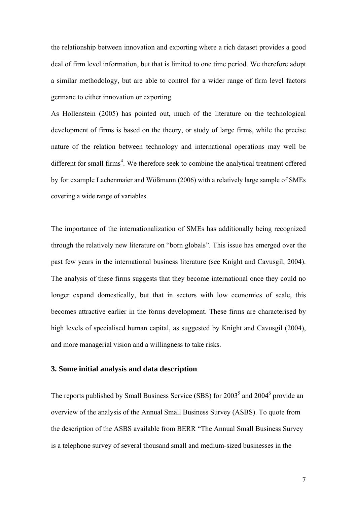the relationship between innovation and exporting where a rich dataset provides a good deal of firm level information, but that is limited to one time period. We therefore adopt a similar methodology, but are able to control for a wider range of firm level factors germane to either innovation or exporting.

As Hollenstein (2005) has pointed out, much of the literature on the technological development of firms is based on the theory, or study of large firms, while the precise nature of the relation between technology and international operations may well be different for small firms<sup>4</sup>. We therefore seek to combine the analytical treatment offered by for example Lachenmaier and Wößmann (2006) with a relatively large sample of SMEs covering a wide range of variables.

The importance of the internationalization of SMEs has additionally being recognized through the relatively new literature on "born globals". This issue has emerged over the past few years in the international business literature (see Knight and Cavusgil, 2004). The analysis of these firms suggests that they become international once they could no longer expand domestically, but that in sectors with low economies of scale, this becomes attractive earlier in the forms development. These firms are characterised by high levels of specialised human capital, as suggested by Knight and Cavusgil (2004), and more managerial vision and a willingness to take risks.

# **3. Some initial analysis and data description**

The reports published by Small Business Service (SBS) for  $2003^5$  and  $2004^6$  provide an overview of the analysis of the Annual Small Business Survey (ASBS). To quote from the description of the ASBS available from BERR "The Annual Small Business Survey is a telephone survey of several thousand small and medium-sized businesses in the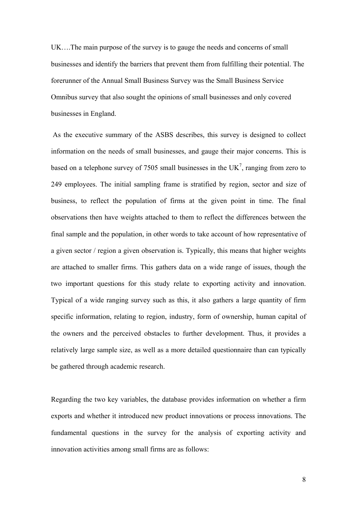UK….The main purpose of the survey is to gauge the needs and concerns of small businesses and identify the barriers that prevent them from fulfilling their potential. The forerunner of the Annual Small Business Survey was the Small Business Service Omnibus survey that also sought the opinions of small businesses and only covered businesses in England.

 As the executive summary of the ASBS describes, this survey is designed to collect information on the needs of small businesses, and gauge their major concerns. This is based on a telephone survey of 7505 small businesses in the  $UK<sup>7</sup>$ , ranging from zero to 249 employees. The initial sampling frame is stratified by region, sector and size of business, to reflect the population of firms at the given point in time. The final observations then have weights attached to them to reflect the differences between the final sample and the population, in other words to take account of how representative of a given sector / region a given observation is. Typically, this means that higher weights are attached to smaller firms. This gathers data on a wide range of issues, though the two important questions for this study relate to exporting activity and innovation. Typical of a wide ranging survey such as this, it also gathers a large quantity of firm specific information, relating to region, industry, form of ownership, human capital of the owners and the perceived obstacles to further development. Thus, it provides a relatively large sample size, as well as a more detailed questionnaire than can typically be gathered through academic research.

Regarding the two key variables, the database provides information on whether a firm exports and whether it introduced new product innovations or process innovations. The fundamental questions in the survey for the analysis of exporting activity and innovation activities among small firms are as follows:

8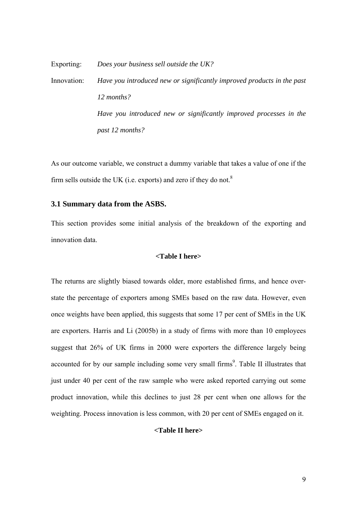Exporting: *Does your business sell outside the UK?* Innovation: *Have you introduced new or significantly improved products in the past 12 months? Have you introduced new or significantly improved processes in the past 12 months?*

As our outcome variable, we construct a dummy variable that takes a value of one if the firm sells outside the UK (i.e. exports) and zero if they do not. $8$ 

## **3.1 Summary data from the ASBS.**

This section provides some initial analysis of the breakdown of the exporting and innovation data.

## **<Table I here>**

The returns are slightly biased towards older, more established firms, and hence overstate the percentage of exporters among SMEs based on the raw data. However, even once weights have been applied, this suggests that some 17 per cent of SMEs in the UK are exporters. Harris and Li (2005b) in a study of firms with more than 10 employees suggest that 26% of UK firms in 2000 were exporters the difference largely being accounted for by our sample including some very small firms<sup>9</sup>. Table II illustrates that just under 40 per cent of the raw sample who were asked reported carrying out some product innovation, while this declines to just 28 per cent when one allows for the weighting. Process innovation is less common, with 20 per cent of SMEs engaged on it.

## **<Table II here>**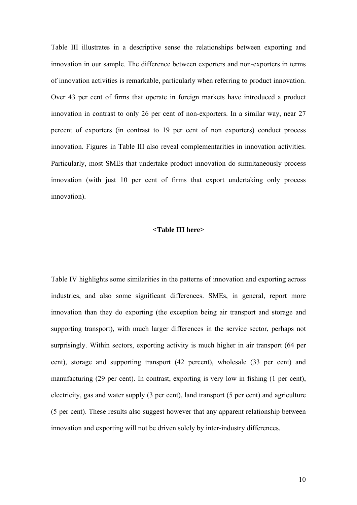Table III illustrates in a descriptive sense the relationships between exporting and innovation in our sample. The difference between exporters and non-exporters in terms of innovation activities is remarkable, particularly when referring to product innovation. Over 43 per cent of firms that operate in foreign markets have introduced a product innovation in contrast to only 26 per cent of non-exporters. In a similar way, near 27 percent of exporters (in contrast to 19 per cent of non exporters) conduct process innovation. Figures in Table III also reveal complementarities in innovation activities. Particularly, most SMEs that undertake product innovation do simultaneously process innovation (with just 10 per cent of firms that export undertaking only process innovation).

### **<Table III here>**

Table IV highlights some similarities in the patterns of innovation and exporting across industries, and also some significant differences. SMEs, in general, report more innovation than they do exporting (the exception being air transport and storage and supporting transport), with much larger differences in the service sector, perhaps not surprisingly. Within sectors, exporting activity is much higher in air transport (64 per cent), storage and supporting transport (42 percent), wholesale (33 per cent) and manufacturing (29 per cent). In contrast, exporting is very low in fishing (1 per cent), electricity, gas and water supply (3 per cent), land transport (5 per cent) and agriculture (5 per cent). These results also suggest however that any apparent relationship between innovation and exporting will not be driven solely by inter-industry differences.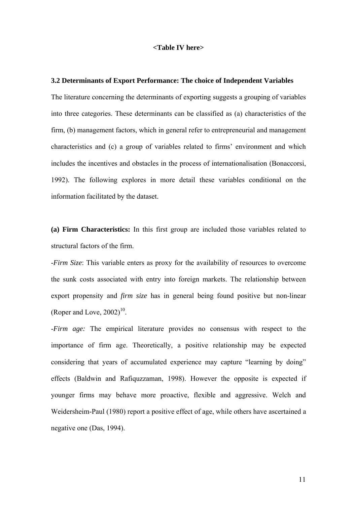#### **<Table IV here>**

#### **3.2 Determinants of Export Performance: The choice of Independent Variables**

The literature concerning the determinants of exporting suggests a grouping of variables into three categories. These determinants can be classified as (a) characteristics of the firm, (b) management factors, which in general refer to entrepreneurial and management characteristics and (c) a group of variables related to firms' environment and which includes the incentives and obstacles in the process of internationalisation (Bonaccorsi, 1992). The following explores in more detail these variables conditional on the information facilitated by the dataset.

**(a) Firm Characteristics:** In this first group are included those variables related to structural factors of the firm.

-*Firm Size*: This variable enters as proxy for the availability of resources to overcome the sunk costs associated with entry into foreign markets. The relationship between export propensity and *firm size* has in general being found positive but non-linear (Roper and Love,  $2002$ )<sup>10</sup>.

-*Firm age:* The empirical literature provides no consensus with respect to the importance of firm age. Theoretically, a positive relationship may be expected considering that years of accumulated experience may capture "learning by doing" effects (Baldwin and Rafiquzzaman, 1998). However the opposite is expected if younger firms may behave more proactive, flexible and aggressive. Welch and Weidersheim-Paul (1980) report a positive effect of age, while others have ascertained a negative one (Das, 1994).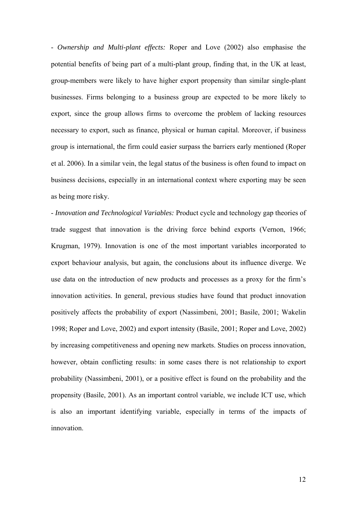- *Ownership and Multi-plant effects:* Roper and Love (2002) also emphasise the potential benefits of being part of a multi-plant group, finding that, in the UK at least, group-members were likely to have higher export propensity than similar single-plant businesses. Firms belonging to a business group are expected to be more likely to export, since the group allows firms to overcome the problem of lacking resources necessary to export, such as finance, physical or human capital. Moreover, if business group is international, the firm could easier surpass the barriers early mentioned (Roper et al. 2006). In a similar vein, the legal status of the business is often found to impact on business decisions, especially in an international context where exporting may be seen as being more risky.

- *Innovation and Technological Variables:* Product cycle and technology gap theories of trade suggest that innovation is the driving force behind exports (Vernon, 1966; Krugman, 1979). Innovation is one of the most important variables incorporated to export behaviour analysis, but again, the conclusions about its influence diverge. We use data on the introduction of new products and processes as a proxy for the firm's innovation activities. In general, previous studies have found that product innovation positively affects the probability of export (Nassimbeni, 2001; Basile, 2001; Wakelin 1998; Roper and Love, 2002) and export intensity (Basile, 2001; Roper and Love, 2002) by increasing competitiveness and opening new markets. Studies on process innovation, however, obtain conflicting results: in some cases there is not relationship to export probability (Nassimbeni, 2001), or a positive effect is found on the probability and the propensity (Basile, 2001). As an important control variable, we include ICT use, which is also an important identifying variable, especially in terms of the impacts of innovation.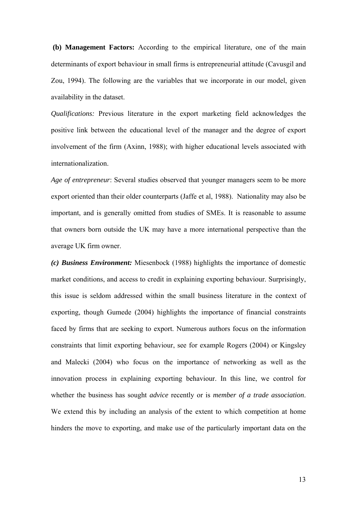**(b) Management Factors:** According to the empirical literature, one of the main determinants of export behaviour in small firms is entrepreneurial attitude (Cavusgil and Zou, 1994). The following are the variables that we incorporate in our model, given availability in the dataset.

*Qualifications:* Previous literature in the export marketing field acknowledges the positive link between the educational level of the manager and the degree of export involvement of the firm (Axinn, 1988); with higher educational levels associated with internationalization.

*Age of entrepreneur*: Several studies observed that younger managers seem to be more export oriented than their older counterparts (Jaffe et al, 1988). Nationality may also be important, and is generally omitted from studies of SMEs. It is reasonable to assume that owners born outside the UK may have a more international perspective than the average UK firm owner.

*(c) Business Environment:* Miesenbock (1988) highlights the importance of domestic market conditions, and access to credit in explaining exporting behaviour. Surprisingly, this issue is seldom addressed within the small business literature in the context of exporting, though Gumede (2004) highlights the importance of financial constraints faced by firms that are seeking to export. Numerous authors focus on the information constraints that limit exporting behaviour, see for example Rogers (2004) or Kingsley and Malecki (2004) who focus on the importance of networking as well as the innovation process in explaining exporting behaviour. In this line, we control for whether the business has sought *advice* recently or is *member of a trade association*. We extend this by including an analysis of the extent to which competition at home hinders the move to exporting, and make use of the particularly important data on the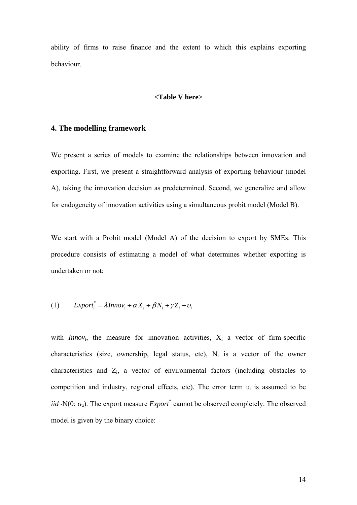ability of firms to raise finance and the extent to which this explains exporting behaviour.

#### **<Table V here>**

## **4. The modelling framework**

We present a series of models to examine the relationships between innovation and exporting. First, we present a straightforward analysis of exporting behaviour (model A), taking the innovation decision as predetermined. Second, we generalize and allow for endogeneity of innovation activities using a simultaneous probit model (Model B).

We start with a Probit model (Model A) of the decision to export by SMEs. This procedure consists of estimating a model of what determines whether exporting is undertaken or not:

(1) 
$$
Export_i^* = \lambda Innov_i + \alpha X_i + \beta N_i + \gamma Z_i + \nu_i
$$

with *Innov<sub>i</sub>*, the measure for innovation activities,  $X_i$  a vector of firm-specific characteristics (size, ownership, legal status, etc),  $N_i$  is a vector of the owner characteristics and  $Z_i$ , a vector of environmental factors (including obstacles to competition and industry, regional effects, etc). The error term  $v_i$  is assumed to be  $iid \sim N(0; \sigma_u)$ . The export measure *Export*<sup>\*</sup> cannot be observed completely. The observed model is given by the binary choice: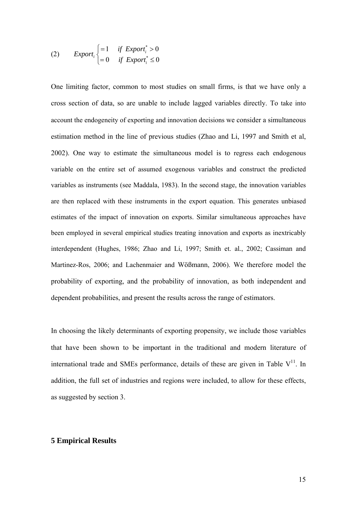(2) 
$$
Export_i\begin{cases} =1 & if \; Export_i^* > 0\\ =0 & if \; Export_i^* \leq 0 \end{cases}
$$

One limiting factor, common to most studies on small firms, is that we have only a cross section of data, so are unable to include lagged variables directly. To take into account the endogeneity of exporting and innovation decisions we consider a simultaneous estimation method in the line of previous studies (Zhao and Li, 1997 and Smith et al, 2002). One way to estimate the simultaneous model is to regress each endogenous variable on the entire set of assumed exogenous variables and construct the predicted variables as instruments (see Maddala, 1983). In the second stage, the innovation variables are then replaced with these instruments in the export equation. This generates unbiased estimates of the impact of innovation on exports. Similar simultaneous approaches have been employed in several empirical studies treating innovation and exports as inextricably interdependent (Hughes, 1986; Zhao and Li, 1997; Smith et. al*.*, 2002; Cassiman and Martinez-Ros, 2006; and Lachenmaier and Wößmann, 2006). We therefore model the probability of exporting, and the probability of innovation, as both independent and dependent probabilities, and present the results across the range of estimators.

In choosing the likely determinants of exporting propensity, we include those variables that have been shown to be important in the traditional and modern literature of international trade and SMEs performance, details of these are given in Table  $V^{11}$ . In addition, the full set of industries and regions were included, to allow for these effects, as suggested by section 3.

## **5 Empirical Results**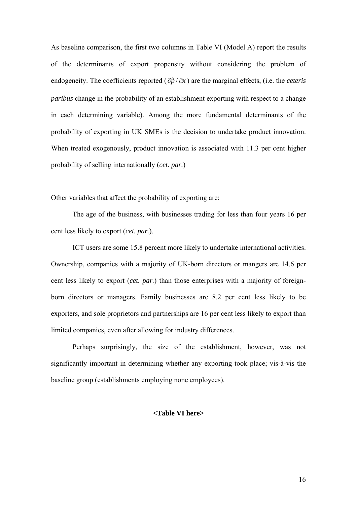As baseline comparison, the first two columns in Table VI (Model A) report the results of the determinants of export propensity without considering the problem of endogeneity. The coefficients reported  $(\partial \hat{p}/\partial x)$  are the marginal effects, (i.e. the *ceteris paribus* change in the probability of an establishment exporting with respect to a change in each determining variable). Among the more fundamental determinants of the probability of exporting in UK SMEs is the decision to undertake product innovation. When treated exogenously, product innovation is associated with 11.3 per cent higher probability of selling internationally (*cet. par.*)

Other variables that affect the probability of exporting are:

The age of the business, with businesses trading for less than four years 16 per cent less likely to export (*cet. par.*).

ICT users are some 15.8 percent more likely to undertake international activities. Ownership, companies with a majority of UK-born directors or mangers are 14.6 per cent less likely to export (*cet. par.*) than those enterprises with a majority of foreignborn directors or managers. Family businesses are 8.2 per cent less likely to be exporters, and sole proprietors and partnerships are 16 per cent less likely to export than limited companies, even after allowing for industry differences.

Perhaps surprisingly, the size of the establishment, however, was not significantly important in determining whether any exporting took place; vis-à-vis the baseline group (establishments employing none employees).

## **<Table VI here>**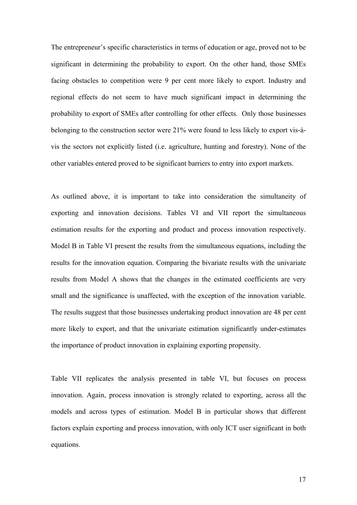The entrepreneur's specific characteristics in terms of education or age, proved not to be significant in determining the probability to export. On the other hand, those SMEs facing obstacles to competition were 9 per cent more likely to export. Industry and regional effects do not seem to have much significant impact in determining the probability to export of SMEs after controlling for other effects. Only those businesses belonging to the construction sector were 21% were found to less likely to export vis-àvis the sectors not explicitly listed (i.e. agriculture, hunting and forestry). None of the other variables entered proved to be significant barriers to entry into export markets.

As outlined above, it is important to take into consideration the simultaneity of exporting and innovation decisions. Tables VI and VII report the simultaneous estimation results for the exporting and product and process innovation respectively. Model B in Table VI present the results from the simultaneous equations, including the results for the innovation equation. Comparing the bivariate results with the univariate results from Model A shows that the changes in the estimated coefficients are very small and the significance is unaffected, with the exception of the innovation variable. The results suggest that those businesses undertaking product innovation are 48 per cent more likely to export, and that the univariate estimation significantly under-estimates the importance of product innovation in explaining exporting propensity.

Table VII replicates the analysis presented in table VI, but focuses on process innovation. Again, process innovation is strongly related to exporting, across all the models and across types of estimation. Model B in particular shows that different factors explain exporting and process innovation, with only ICT user significant in both equations.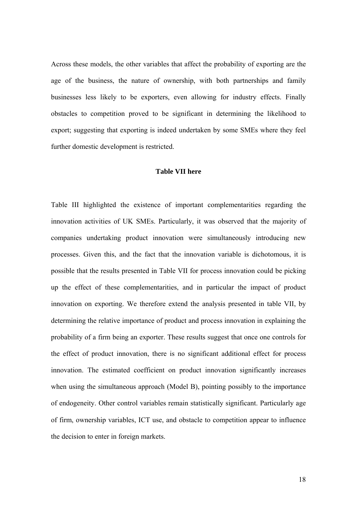Across these models, the other variables that affect the probability of exporting are the age of the business, the nature of ownership, with both partnerships and family businesses less likely to be exporters, even allowing for industry effects. Finally obstacles to competition proved to be significant in determining the likelihood to export; suggesting that exporting is indeed undertaken by some SMEs where they feel further domestic development is restricted.

#### **Table VII here**

Table III highlighted the existence of important complementarities regarding the innovation activities of UK SMEs. Particularly, it was observed that the majority of companies undertaking product innovation were simultaneously introducing new processes. Given this, and the fact that the innovation variable is dichotomous, it is possible that the results presented in Table VII for process innovation could be picking up the effect of these complementarities, and in particular the impact of product innovation on exporting. We therefore extend the analysis presented in table VII, by determining the relative importance of product and process innovation in explaining the probability of a firm being an exporter. These results suggest that once one controls for the effect of product innovation, there is no significant additional effect for process innovation. The estimated coefficient on product innovation significantly increases when using the simultaneous approach (Model B), pointing possibly to the importance of endogeneity. Other control variables remain statistically significant. Particularly age of firm, ownership variables, ICT use, and obstacle to competition appear to influence the decision to enter in foreign markets.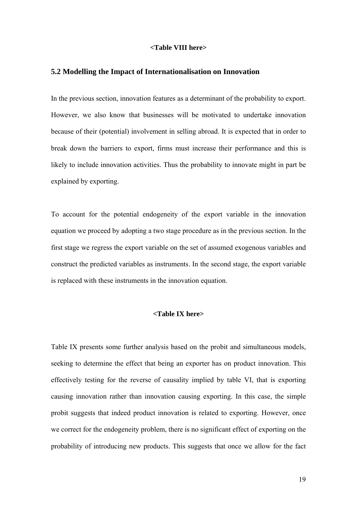#### **<Table VIII here>**

### **5.2 Modelling the Impact of Internationalisation on Innovation**

In the previous section, innovation features as a determinant of the probability to export. However, we also know that businesses will be motivated to undertake innovation because of their (potential) involvement in selling abroad. It is expected that in order to break down the barriers to export, firms must increase their performance and this is likely to include innovation activities. Thus the probability to innovate might in part be explained by exporting.

To account for the potential endogeneity of the export variable in the innovation equation we proceed by adopting a two stage procedure as in the previous section. In the first stage we regress the export variable on the set of assumed exogenous variables and construct the predicted variables as instruments. In the second stage, the export variable is replaced with these instruments in the innovation equation.

# **<Table IX here>**

Table IX presents some further analysis based on the probit and simultaneous models, seeking to determine the effect that being an exporter has on product innovation. This effectively testing for the reverse of causality implied by table VI, that is exporting causing innovation rather than innovation causing exporting. In this case, the simple probit suggests that indeed product innovation is related to exporting. However, once we correct for the endogeneity problem, there is no significant effect of exporting on the probability of introducing new products. This suggests that once we allow for the fact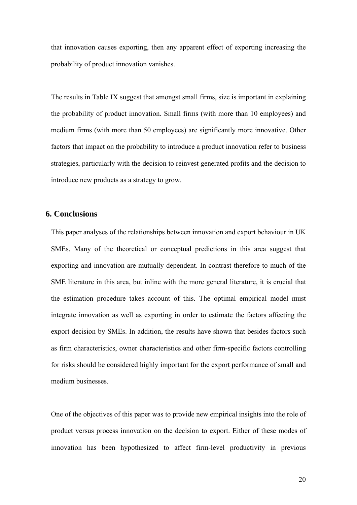that innovation causes exporting, then any apparent effect of exporting increasing the probability of product innovation vanishes.

The results in Table IX suggest that amongst small firms, size is important in explaining the probability of product innovation. Small firms (with more than 10 employees) and medium firms (with more than 50 employees) are significantly more innovative. Other factors that impact on the probability to introduce a product innovation refer to business strategies, particularly with the decision to reinvest generated profits and the decision to introduce new products as a strategy to grow.

# **6. Conclusions**

This paper analyses of the relationships between innovation and export behaviour in UK SMEs. Many of the theoretical or conceptual predictions in this area suggest that exporting and innovation are mutually dependent. In contrast therefore to much of the SME literature in this area, but inline with the more general literature, it is crucial that the estimation procedure takes account of this. The optimal empirical model must integrate innovation as well as exporting in order to estimate the factors affecting the export decision by SMEs. In addition, the results have shown that besides factors such as firm characteristics, owner characteristics and other firm-specific factors controlling for risks should be considered highly important for the export performance of small and medium businesses.

One of the objectives of this paper was to provide new empirical insights into the role of product versus process innovation on the decision to export. Either of these modes of innovation has been hypothesized to affect firm-level productivity in previous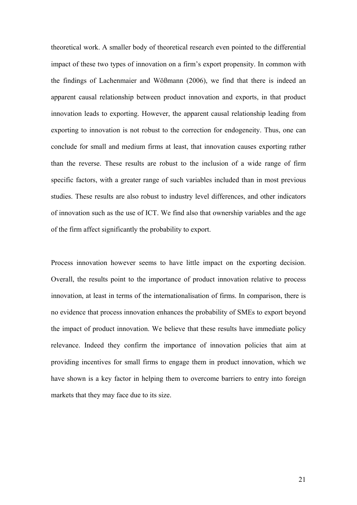theoretical work. A smaller body of theoretical research even pointed to the differential impact of these two types of innovation on a firm's export propensity. In common with the findings of Lachenmaier and Wößmann (2006), we find that there is indeed an apparent causal relationship between product innovation and exports, in that product innovation leads to exporting. However, the apparent causal relationship leading from exporting to innovation is not robust to the correction for endogeneity. Thus, one can conclude for small and medium firms at least, that innovation causes exporting rather than the reverse. These results are robust to the inclusion of a wide range of firm specific factors, with a greater range of such variables included than in most previous studies. These results are also robust to industry level differences, and other indicators of innovation such as the use of ICT. We find also that ownership variables and the age of the firm affect significantly the probability to export.

Process innovation however seems to have little impact on the exporting decision. Overall, the results point to the importance of product innovation relative to process innovation, at least in terms of the internationalisation of firms. In comparison, there is no evidence that process innovation enhances the probability of SMEs to export beyond the impact of product innovation. We believe that these results have immediate policy relevance. Indeed they confirm the importance of innovation policies that aim at providing incentives for small firms to engage them in product innovation, which we have shown is a key factor in helping them to overcome barriers to entry into foreign markets that they may face due to its size.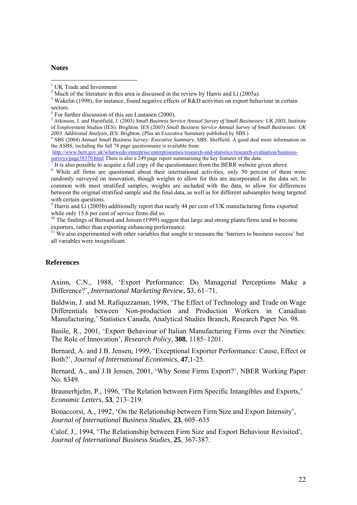#### **Notes**

<u>.</u>

<sup>3</sup> Wakelin (1998), for instance, found negative effects of R&D activities on export behaviour in certain

http://www.berr.gov.uk/whatwedo/enterprise/enterprisesmes/research-and-statistics/research-evaluation/businesssurveys/page38370.html There is also a 249 page report summarising the key features of the data.

It is also possible to acquire a full copy of the questionnaire from the BERR website given above.

<sup>8</sup> While all firms are questioned about their international activities, only 50 percent of them were randomly surveyed on innovation, though weights to allow for this are incorporated in the data set. In common with most stratified samples, weights are included with the data, to allow for differences between the original stratified sample and the final data, as well as for different subsamples being targeted with certain questions.

 $9$  Harris and Li (2005b) additionally report that nearly 44 per cent of UK manufacturing firms exported while only 15.6 per cent of service firms did so.

<sup>10</sup> The findings of Bernard and Jensen (1999) suggest that large and strong plants/firms tend to become exporters, rather than exporting enhancing performance.

 $11$  We also experimented with other variables that sought to measure the 'barriers to business success' but all variables were insignificant.

#### **References**

Axinn, C.N., 1988, 'Export Performance: Do Managerial Perceptions Make a Difference?', *International Marketing Review*, **5**3, 61–71.

Baldwin, J. and M. Rafiquzzaman, 1998, 'The Effect of Technology and Trade on Wage Differentials between Non-production and Production Workers in Canadian Manufacturing,' Statistics Canada, Analytical Studies Branch, Research Paper No. 98.

Basile, R., 2001, 'Export Behaviour of Italian Manufacturing Firms over the Nineties: The Role of Innovation', *Research Policy*, **308**, 1185–1201.

Bernard, A. and J.B. Jensen, 1999, 'Exceptional Exporter Performance: Cause, Effect or Both?', *Journal of International Economics*, **47**,1-25.

Bernard, A., and J.B Jensen, 2001, 'Why Some Firms Export?', NBER Working Paper No. 8349.

Braunerhjelm, P., 1996, 'The Relation between Firm Specific Intangibles and Exports,' *Economic Letters*, **53**, 213–219.

Bonaccorsi, A., 1992, 'On the Relationship between Firm Size and Export Intensity', *Journal of International Business Studies*, **23**, 605–635

Calof, J., 1994, 'The Relationship between Firm Size and Export Behaviour Revisited', *Journal of International Business Studies*, **25**, 367-387.

<sup>&</sup>lt;sup>1</sup> UK Trade and Investment

<sup>&</sup>lt;sup>2</sup> Much of the literature in this area is discussed in the review by Harris and Li (2005a).

sectors.

<sup>&</sup>lt;sup>4</sup> For further discussion of this see Lautanen (2000).

<sup>5</sup> Atkinson, J. and Hurstfield, J. (2003) *Small Business Service Annual Survey of Small Businesses: UK 2003*, Institute of Employment Studies (IES): Brighton. IES (2003) *Small Business Service Annual Survey of Small Businesses: UK 2003. Additional Analysis*, IES: Brighton. (Plus an Executive Summary published by SBS.) <sup>6</sup>

SBS (2004) *Annual Small Business Survey: Executive Summary*, SBS: Sheffield. A good deal more information on the ASBS, including the full 78 page questionnaire is available from: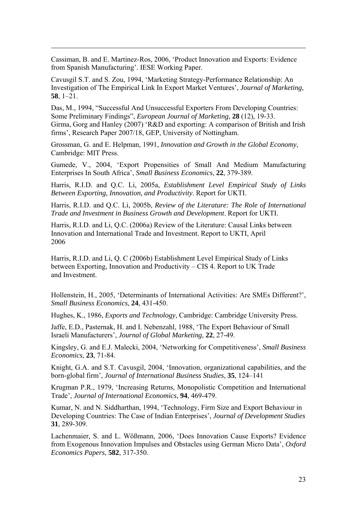Cassiman, B. and E. Martinez-Ros, 2006, 'Product Innovation and Exports: Evidence from Spanish Manufacturing'. IESE Working Paper.

1

Cavusgil S.T. and S. Zou, 1994, 'Marketing Strategy-Performance Relationship: An Investigation of The Empirical Link In Export Market Ventures', *Journal of Marketing*, **58**, 1–21.

Das, M., 1994, "Successful And Unsuccessful Exporters From Developing Countries: Some Preliminary Findings", *European Journal of Marketing*, **28** (12), 19-33. Girma, Gorg and Hanley (2007) 'R&D and exporting: A comparison of British and Irish firms', Research Paper 2007/18, GEP, University of Nottingham.

Grossman, G. and E. Helpman, 1991, *Innovation and Growth in the Global Economy*, Cambridge: MIT Press.

Gumede, V., 2004, 'Export Propensities of Small And Medium Manufacturing Enterprises In South Africa', *Small Business Economics*, **22**, 379-389.

Harris, R.I.D. and Q.C. Li, 2005a, *Establishment Level Empirical Study of Links Between Exporting, Innovation, and Productivity*. Report for UKTI.

Harris, R.I.D. and Q.C. Li, 2005b, *Review of the Literature: The Role of International Trade and Investment in Business Growth and Development*. Report for UKTI.

Harris, R.I.D. and Li, Q.C. (2006a) Review of the Literature: Causal Links between Innovation and International Trade and Investment. Report to UKTI, April 2006

Harris, R.I.D. and Li, Q. C (2006b) Establishment Level Empirical Study of Links between Exporting, Innovation and Productivity – CIS 4. Report to UK Trade and Investment.

Hollenstein, H., 2005, 'Determinants of International Activities: Are SMEs Different?', *Small Business Economics*, **24**, 431-450.

Hughes, K., 1986, *Exports and Technology,* Cambridge: Cambridge University Press.

Jaffe, E.D., Pasternak, H. and I. Nebenzahl, 1988, 'The Export Behaviour of Small Israeli Manufacturers', *Journal of Global Marketing*, **22**, 27-49.

Kingsley, G. and E.J. Malecki, 2004, 'Networking for Competitiveness', *Small Business Economics*, **23**, 71-84.

Knight, G.A. and S.T. Cavusgil, 2004, 'Innovation, organizational capabilities, and the born-global firm', *Journal of International Business Studies*, **35**, 124–141

Krugman P.R., 1979, 'Increasing Returns, Monopolistic Competition and International Trade', *Journal of International Economics*, **94**, 469-479.

Kumar, N. and N. Siddharthan, 1994, 'Technology, Firm Size and Export Behaviour in Developing Countries: The Case of Indian Enterprises', *Journal of Development Studies* **31**, 289-309.

Lachenmaier, S. and L. Wößmann, 2006, 'Does Innovation Cause Exports? Evidence from Exogenous Innovation Impulses and Obstacles using German Micro Data', *Oxford Economics Papers*, **582**, 317-350.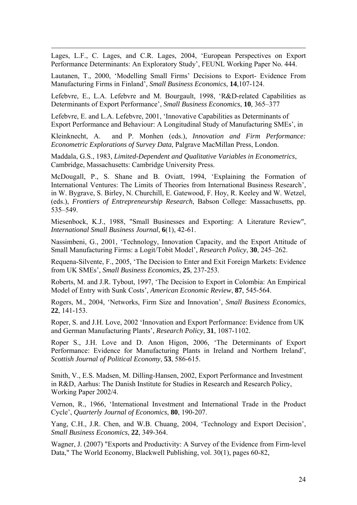Lages, L.F., C. Lages, and C.R. Lages, 2004, 'European Perspectives on Export Performance Determinants: An Exploratory Study', FEUNL Working Paper No. 444.

1

Lautanen, T., 2000, 'Modelling Small Firms' Decisions to Export- Evidence From Manufacturing Firms in Finland', *Small Business Economics*, **14**,107-124.

Lefebvre, E., L.A. Lefebvre and M. Bourgault, 1998, 'R&D-related Capabilities as Determinants of Export Performance', *Small Business Economics*, **10**, 365–377

Lefebvre, E. and L.A. Lefebvre, 2001, 'Innovative Capabilities as Determinants of Export Performance and Behaviour: A Longitudinal Study of Manufacturing SMEs', in

Kleinknecht, A. and P. Monhen (eds.), *Innovation and Firm Performance: Econometric Explorations of Survey Data*, Palgrave MacMillan Press, London.

Maddala, G.S., 1983, *Limited-Dependent and Qualitative Variables in Econometrics*, Cambridge, Massachusetts: Cambridge University Press.

McDougall, P., S. Shane and B. Oviatt, 1994, 'Explaining the Formation of International Ventures: The Limits of Theories from International Business Research', in W. Bygrave, S. Birley, N. Churchill, E. Gatewood, F. Hoy, R. Keeley and W. Wetzel, (eds.), *Frontiers of Entrepreneurship Research*, Babson College: Massachusetts, pp. 535–549.

Miesenbock, K.J., 1988, "Small Businesses and Exporting: A Literature Review", *International Small Business Journal*, **6**(1), 42-61.

Nassimbeni, G., 2001, 'Technology, Innovation Capacity, and the Export Attitude of Small Manufacturing Firms: a Logit/Tobit Model', *Research Policy*, **30**, 245–262.

Requena-Silvente, F., 2005, 'The Decision to Enter and Exit Foreign Markets: Evidence from UK SMEs', *Small Business Economics*, **25**, 237-253.

Roberts, M. and J.R. Tybout, 1997, 'The Decision to Export in Colombia: An Empirical Model of Entry with Sunk Costs', *American Economic Review*, **87**, 545-564.

Rogers, M., 2004, 'Networks, Firm Size and Innovation', *Small Business Economics*, **22**, 141-153.

Roper, S. and J.H. Love, 2002 'Innovation and Export Performance: Evidence from UK and German Manufacturing Plants', *Research Policy*, **31**, 1087-1102.

Roper S., J.H. Love and D. Anon Higon, 2006, 'The Determinants of Export Performance: Evidence for Manufacturing Plants in Ireland and Northern Ireland', *Scottish Journal of Political Economy*, **53**, 586-615.

Smith, V., E.S. Madsen, M. Dilling-Hansen, 2002, Export Performance and Investment in R&D, Aarhus: The Danish Institute for Studies in Research and Research Policy, Working Paper 2002/4.

Vernon, R., 1966, 'International Investment and International Trade in the Product Cycle', *Quarterly Journal of Economics*, **80**, 190-207.

Yang, C.H., J.R. Chen, and W.B. Chuang, 2004, 'Technology and Export Decision', *Small Business Economics*, **22**, 349-364.

Wagner, J. (2007) "Exports and Productivity: A Survey of the Evidence from Firm-level Data," The World Economy, Blackwell Publishing, vol. 30(1), pages 60-82,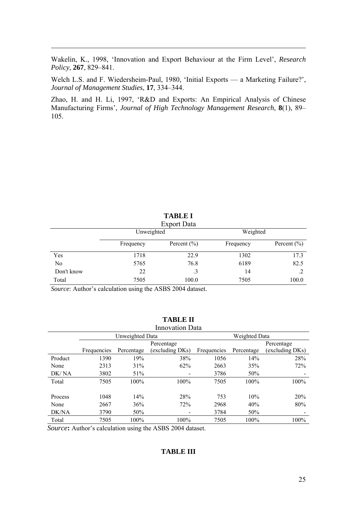Wakelin, K., 1998, 'Innovation and Export Behaviour at the Firm Level', *Research Policy*, **267**, 829–841.

Welch L.S. and F. Wiedersheim-Paul, 1980, 'Initial Exports — a Marketing Failure?', *Journal of Management Studies*, **17**, 334–344.

Zhao, H. and H. Li, 1997, 'R&D and Exports: An Empirical Analysis of Chinese Manufacturing Firms', *Journal of High Technology Management Research*, **8**(1), 89– 105.

|                |            | Export Data     |           |                 |
|----------------|------------|-----------------|-----------|-----------------|
|                | Unweighted |                 | Weighted  |                 |
|                | Frequency  | Percent $(\% )$ | Frequency | Percent $(\% )$ |
| Yes            | 1718       | 22.9            | 1302      | 17.3            |
| N <sub>0</sub> | 5765       | 76.8            | 6189      | 82.5            |
| Don't know     | 22         | $\cdot$ 3       | 14        |                 |
| Total          | 7505       | 100.0           | 7505      | 100.0           |

**TABLE I** 

*Source*: Author's calculation using the ASBS 2004 dataset.

1

|         |             |                 | <b>Innovation Data</b> |             |               |                 |
|---------|-------------|-----------------|------------------------|-------------|---------------|-----------------|
|         |             | Unweighted Data |                        |             | Weighted Data |                 |
|         |             |                 | Percentage             |             |               | Percentage      |
|         | Frequencies | Percentage      | (excluding DKs)        | Frequencies | Percentage    | (excluding DKs) |
| Product | 1390        | 19%             | 38%                    | 1056        | 14%           | 28%             |
| None    | 2313        | 31%             | 62%                    | 2663        | 35%           | 72%             |
| DK/NA   | 3802        | 51%             |                        | 3786        | 50%           |                 |
| Total   | 7505        | 100%            | 100%                   | 7505        | 100%          | 100%            |
|         |             |                 |                        |             |               |                 |
| Process | 1048        | 14%             | 28%                    | 753         | 10%           | 20%             |
| None    | 2667        | 36%             | 72%                    | 2968        | 40%           | 80%             |
| DK/NA   | 3790        | 50%             | -                      | 3784        | 50%           |                 |
| Total   | 7505        | 100%            | 100%                   | 7505        | $100\%$       | 100%            |

**TABLE II** 

*Source***:** Author's calculation using the ASBS 2004 dataset.

# **TABLE III**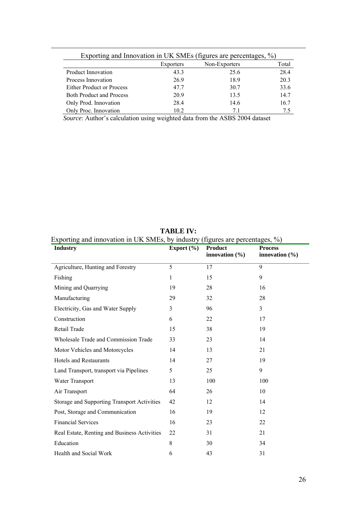|                                  |           | Exporting and Innovation in UK SMEs (figures are percentages, %) |       |
|----------------------------------|-----------|------------------------------------------------------------------|-------|
|                                  | Exporters | Non-Exporters                                                    | Total |
| <b>Product Innovation</b>        | 43.3      | 25.6                                                             | 28.4  |
| Process Innovation               | 26.9      | 18.9                                                             | 20.3  |
| <b>Either Product or Process</b> | 477       | 30.7                                                             | 33.6  |
| <b>Both Product and Process</b>  | 20.9      | 13.5                                                             | 14.7  |
| Only Prod. Innovation            | 28.4      | 14.6                                                             | 16.7  |
| Only Proc. Innovation            | 10.2      | 71                                                               | 75    |

*Source*: Author's calculation using weighted data from the ASBS 2004 dataset

1

| <b>Industry</b>                                    | Export $(\% )$ | <b>Product</b><br>innovation $(\% )$ | <b>Process</b><br>innovation $(\% )$ |  |
|----------------------------------------------------|----------------|--------------------------------------|--------------------------------------|--|
| Agriculture, Hunting and Forestry                  | 5              | 17                                   | 9                                    |  |
| Fishing                                            | 1              | 15                                   | 9                                    |  |
| Mining and Quarrying                               | 19             | 28                                   | 16                                   |  |
| Manufacturing                                      | 29             | 32                                   | 28                                   |  |
| Electricity, Gas and Water Supply                  | 3              | 96                                   | 3                                    |  |
| Construction                                       | 6              | 22                                   | 17                                   |  |
| Retail Trade                                       | 15             | 38                                   | 19                                   |  |
| Wholesale Trade and Commission Trade               | 33             | 23                                   | 14                                   |  |
| Motor Vehicles and Motorcycles                     | 14             | 13                                   | 21                                   |  |
| <b>Hotels and Restaurants</b>                      | 14             | 27                                   | 19                                   |  |
| Land Transport, transport via Pipelines            | 5              | 25                                   | 9                                    |  |
| Water Transport                                    | 13             | 100                                  | 100                                  |  |
| Air Transport                                      | 64             | 26                                   | 10                                   |  |
| <b>Storage and Supporting Transport Activities</b> | 42             | 12                                   | 14                                   |  |
| Post, Storage and Communication                    | 16             | 19                                   | 12                                   |  |
| <b>Financial Services</b>                          | 16             | 23                                   | 22                                   |  |
| Real Estate, Renting and Business Activities       | 22             | 31                                   | 21                                   |  |
| Education                                          | 8              | 30                                   | 34                                   |  |
| Health and Social Work                             | 6              | 43                                   | 31                                   |  |

**TABLE IV:**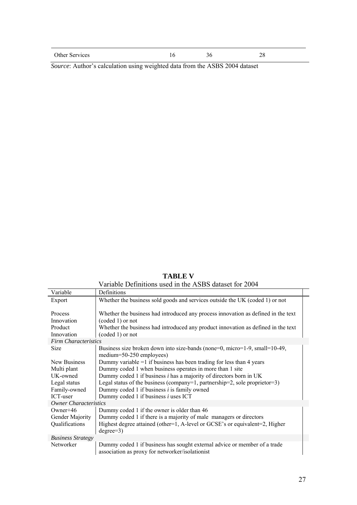| Other Services |  | ຳເ |
|----------------|--|----|

*Source*: Author's calculation using weighted data from the ASBS 2004 dataset

|  |  | <b>TABLE V</b> |  |                                  |  |
|--|--|----------------|--|----------------------------------|--|
|  |  |                |  | $1:1$ $\wedge$ $\cap$ $\cap$ $1$ |  |

|                              | Variable Definitions used in the ASBS dataset for 2004                            |
|------------------------------|-----------------------------------------------------------------------------------|
| Variable                     | Definitions                                                                       |
| Export                       | Whether the business sold goods and services outside the UK (coded 1) or not      |
|                              |                                                                                   |
| Process                      | Whether the business had introduced any process innovation as defined in the text |
| Innovation                   | $(coded 1)$ or not                                                                |
| Product                      | Whether the business had introduced any product innovation as defined in the text |
| Innovation                   | $(coded 1)$ or not                                                                |
| <b>Firm Characteristics</b>  |                                                                                   |
| <b>Size</b>                  | Business size broken down into size-bands (none=0, micro=1-9, small=10-49,        |
|                              | medium=50-250 employees)                                                          |
| New Business                 | Dummy variable $=1$ if business has been trading for less than 4 years            |
| Multi plant                  | Dummy coded 1 when business operates in more than 1 site                          |
| UK-owned                     | Dummy coded 1 if business $i$ has a majority of directors born in UK              |
| Legal status                 | Legal status of the business (company=1, partnership=2, sole proprietor=3)        |
| Family-owned                 | Dummy coded 1 if business $i$ is family owned                                     |
| ICT-user                     | Dummy coded 1 if business $i$ uses ICT                                            |
| <b>Owner Characteristics</b> |                                                                                   |
| Owner+46                     | Dummy coded 1 if the owner is older than 46                                       |
| Gender Majority              | Dummy coded 1 if there is a majority of male managers or directors                |
| Qualifications               | Highest degree attained (other=1, A-level or GCSE's or equivalent=2, Higher       |
|                              | $degree=3)$                                                                       |
| <b>Business Strategy</b>     |                                                                                   |
| Networker                    | Dummy coded 1 if business has sought external advice or member of a trade         |
|                              | association as proxy for networker/isolationist                                   |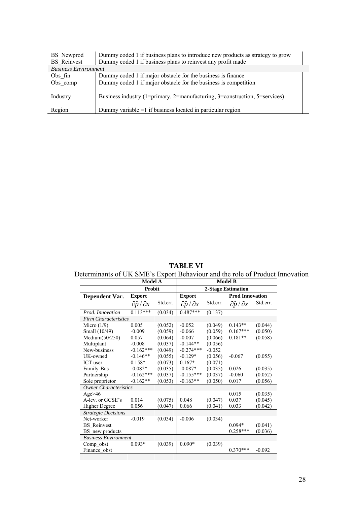| BS Newprod<br><b>BS</b> Reinvest | Dummy coded 1 if business plans to introduce new products as strategy to grow<br>Dummy coded 1 if business plans to reinvest any profit made |
|----------------------------------|----------------------------------------------------------------------------------------------------------------------------------------------|
| <b>Business Environment</b>      |                                                                                                                                              |
| Obs fin<br>Obs comp              | Dummy coded 1 if major obstacle for the business is finance<br>Dummy coded 1 if major obstacle for the business is competition               |
| Industry                         | Business industry (1=primary, 2=manufacturing, 3=construction, 5=services)                                                                   |
| Region                           | Dummy variable $=1$ if business located in particular region                                                                                 |

**TABLE VI** 

Determinants of UK SME's Export Behaviour and the role of Product Innovation

|                              | <b>Model A</b>                  |          |                                 |          | <b>Model B</b>                  |          |
|------------------------------|---------------------------------|----------|---------------------------------|----------|---------------------------------|----------|
|                              | Probit                          |          |                                 |          | 2-Stage Estimation              |          |
| Dependent Var.               | <b>Export</b>                   |          | <b>Export</b>                   |          | <b>Prod Innovation</b>          |          |
|                              | $\partial \hat{p} / \partial x$ | Std.err. | $\partial \hat{p} / \partial x$ | Std.err. | $\partial \hat{p} / \partial x$ | Std.err. |
| Prod. Innovation             | $0.113***$                      | (0.034)  | $0.487***$                      | (0.137)  |                                 |          |
| <b>Firm Characteristics</b>  |                                 |          |                                 |          |                                 |          |
| Micro $(1/9)$                | 0.005                           | (0.052)  | $-0.052$                        | (0.049)  | $0.143**$                       | (0.044)  |
| Small (10/49)                | $-0.009$                        | (0.059)  | $-0.066$                        | (0.059)  | $0.167***$                      | (0.050)  |
| Medium(50/250)               | 0.057                           | (0.064)  | $-0.007$                        | (0.066)  | $0.181**$                       | (0.058)  |
| Multiplant                   | $-0.008$                        | (0.037)  | $-0.144**$                      | (0.056)  |                                 |          |
| New-business                 | $-0.162***$                     | (0.049)  | $-0.274***$                     | $-0.052$ |                                 |          |
| UK-owned                     | $-0.146**$                      | (0.055)  | $-0.129*$                       | (0.056)  | $-0.067$                        | (0.055)  |
| ICT user                     | $0.158*$                        | (0.073)  | $0.167*$                        | (0.071)  |                                 |          |
| Family-Bus                   | $-0.082*$                       | (0.035)  | $-0.087*$                       | (0.035)  | 0.026                           | (0.035)  |
| Partnership                  | $-0.162***$                     | (0.037)  | $-0.155***$                     | (0.037)  | $-0.060$                        | (0.052)  |
| Sole proprietor              | $-0.162**$                      | (0.053)  | $-0.163**$                      | (0.050)  | 0.017                           | (0.056)  |
| <b>Owner Characteristics</b> |                                 |          |                                 |          |                                 |          |
| Age $>46$                    |                                 |          |                                 |          | 0.015                           | (0.035)  |
| A-lev. or GCSE's             | 0.014                           | (0.075)  | 0.048                           | (0.047)  | 0.037                           | (0.045)  |
| <b>Higher Degree</b>         | 0.056                           | (0.047)  | 0.066                           | (0.041)  | 0.033                           | (0.042)  |
| <b>Strategic Decisions</b>   |                                 |          |                                 |          |                                 |          |
| Net-worker                   | $-0.019$                        | (0.034)  | $-0.006$                        | (0.034)  |                                 |          |
| <b>BS</b> Reinvest           |                                 |          |                                 |          | $0.094*$                        | (0.041)  |
| BS new products              |                                 |          |                                 |          | $0.258***$                      | (0.036)  |
| <b>Business Environment</b>  |                                 |          |                                 |          |                                 |          |
| Comp obst                    | $0.093*$                        | (0.039)  | $0.090*$                        | (0.039)  |                                 |          |
| Finance obst                 |                                 |          |                                 |          | $0.370***$                      | $-0.092$ |
|                              |                                 |          |                                 |          |                                 |          |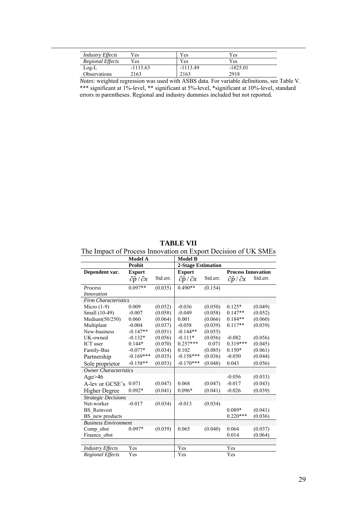| <b>Industry Effects</b> | Yes        | Yes        | Yes.       |  |
|-------------------------|------------|------------|------------|--|
| <b>Regional Effects</b> | Yes        | Yes        | Yes        |  |
| $Log-L$                 | $-1115.63$ | $-1113.49$ | $-1825.01$ |  |
| Observations            | 2163       | 2163       | 2918       |  |

1

*Notes*: weighted regression was used with ASBS data. For variable definitions, see Table V. \*\*\* significant at 1%-level, \*\* significant at 5%-level, \*significant at 10%-level, standard errors in parentheses. Regional and industry dummies included but not reported.

**TABLE VII** 

The Impact of Process Innovation on Export Decision of UK SMEs

|                              | <b>Model A</b>                  |          | <b>Model B</b>                  |          |                                 |          |
|------------------------------|---------------------------------|----------|---------------------------------|----------|---------------------------------|----------|
|                              | Probit                          |          | <b>2-Stage Estimation</b>       |          |                                 |          |
| Dependent var.               | <b>Export</b>                   |          | <b>Export</b>                   |          | <b>Process Innovation</b>       |          |
|                              | $\partial \hat{p} / \partial x$ | Std.err. | $\partial \hat{p} / \partial x$ | Std.err. | $\partial \hat{p} / \partial x$ | Std.err. |
| Process                      | $0.097**$                       | (0.035)  | $0.490**$                       | (0.154)  |                                 |          |
| <i>Innovation</i>            |                                 |          |                                 |          |                                 |          |
| <b>Firm Characteristics</b>  |                                 |          |                                 |          |                                 |          |
| Micro $(1-9)$                | 0.009                           | (0.052)  | $-0.036$                        | (0.050)  | $0.125*$                        | (0.049)  |
| Small (10-49)                | $-0.007$                        | (0.058)  | $-0.049$                        | (0.058)  | $0.147**$                       | (0.052)  |
| Medium(50/250)               | 0.060                           | (0.064)  | 0.001                           | (0.066)  | $0.184**$                       | (0.060)  |
| Multiplant                   | $-0.004$                        | (0.037)  | $-0.058$                        | (0.039)  | $0.117**$                       | (0.039)  |
| New-business                 | $-0.147**$                      | (0.051)  | $-0.144**$                      | (0.055)  |                                 |          |
| UK-owned                     | $-0.132*$                       | (0.056)  | $-0.111*$                       | (0.056)  | $-0.082$                        | (0.056)  |
| ICT user                     | $0.144*$                        | (0.070)  | $0.257***$                      | 0.071    | $0.319***$                      | (0.045)  |
| Family-Bus                   | $-0.077*$                       | (0.034)  | 0.102                           | (0.085)  | $0.150*$                        | (0.061)  |
| Partnership                  | $-0.169***$                     | (0.035)  | $-0.158***$                     | (0.036)  | $-0.050$                        | (0.044)  |
| Sole proprietor              | $-0.158**$                      | (0.053)  | $-0.170***$                     | (0.048)  | 0.043                           | (0.056)  |
| <b>Owner Characteristics</b> |                                 |          |                                 |          |                                 |          |
| Age $>46$                    |                                 |          |                                 |          | $-0.056$                        | (0.033)  |
| A-lev or GCSE's              | 0.071                           | (0.047)  | 0.068                           | (0.047)  | $-0.017$                        | (0.043)  |
| <b>Higher Degree</b>         | $0.092*$                        | (0.041)  | $0.096*$                        | (0.041)  | $-0.026$                        | (0.039)  |
| <b>Strategic Decisions</b>   |                                 |          |                                 |          |                                 |          |
| Net-worker                   | $-0.017$                        | (0.034)  | $-0.013$                        | (0.034)  |                                 |          |
| <b>BS</b> Reinvest           |                                 |          |                                 |          | $0.089*$                        | (0.041)  |
| BS new products              |                                 |          |                                 |          | $0.220***$                      | (0.036)  |
| <b>Business Environment</b>  |                                 |          |                                 |          |                                 |          |
| Comp obst                    | $0.097*$                        | (0.039)  | 0.065                           | (0.040)  | 0.064                           | (0.037)  |
| Finance obst                 |                                 |          |                                 |          | 0.014                           | (0.064)  |
|                              |                                 |          |                                 |          |                                 |          |
| <b>Industry Effects</b>      | Yes                             |          | Yes                             |          | Yes                             |          |
| <b>Regional Effects</b>      | Yes                             |          | Yes                             |          | Yes                             |          |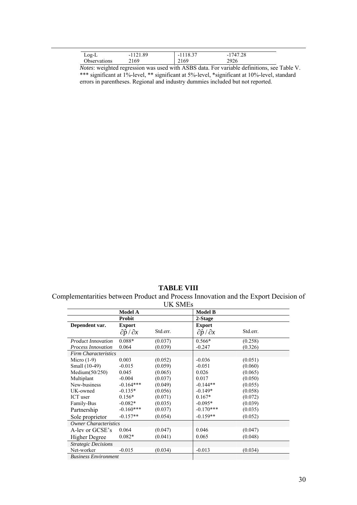| $Log-L$             | $\Omega$<br>$1^{\sim}1$ | 18.37<br>- 1 | 1747.28<br>$-1$ |  |
|---------------------|-------------------------|--------------|-----------------|--|
| <b>Jbservations</b> | 2169                    | 2169         | 2926            |  |

*Notes*: weighted regression was used with ASBS data. For variable definitions, see Table V. \*\*\* significant at 1%-level, \*\* significant at 5%-level, \*significant at 10%-level, standard errors in parentheses. Regional and industry dummies included but not reported.

### **TABLE VIII**

Complementarities between Product and Process Innovation and the Export Decision of

| <b>UK SMEs</b>               |                                 |          |                                 |          |  |
|------------------------------|---------------------------------|----------|---------------------------------|----------|--|
|                              | <b>Model A</b>                  |          | <b>Model B</b>                  |          |  |
|                              | <b>Probit</b>                   |          | 2-Stage                         |          |  |
| Dependent var.               | <b>Export</b>                   |          | <b>Export</b>                   |          |  |
|                              | $\partial \hat{p} / \partial x$ | Std.err. | $\partial \hat{p} / \partial x$ | Std.err. |  |
| <b>Product Innovation</b>    | 0.088*                          | (0.037)  | $0.566*$                        | (0.258)  |  |
| <b>Process Innovation</b>    | 0.064                           | (0.039)  | $-0.247$                        | (0.326)  |  |
| <b>Firm Characteristics</b>  |                                 |          |                                 |          |  |
| Micro $(1-9)$                | 0.003                           | (0.052)  | $-0.036$                        | (0.051)  |  |
| Small (10-49)                | $-0.015$                        | (0.059)  | $-0.051$                        | (0.060)  |  |
| Medium(50/250)               | 0.045                           | (0.065)  | 0.026                           | (0.065)  |  |
| Multiplant                   | $-0.004$                        | (0.037)  | 0.017                           | (0.050)  |  |
| New-business                 | $-0.164***$                     | (0.049)  | $-0.144**$                      | (0.055)  |  |
| UK-owned                     | $-0.135*$                       | (0.056)  | $-0.149*$                       | (0.058)  |  |
| ICT user                     | $0.156*$                        | (0.071)  | $0.167*$                        | (0.072)  |  |
| Family-Bus                   | $-0.082*$                       | (0.035)  | $-0.095*$                       | (0.039)  |  |
| Partnership                  | $-0.160***$                     | (0.037)  | $-0.170***$                     | (0.035)  |  |
| Sole proprietor              | $-0.157**$                      | (0.054)  | $-0.159**$                      | (0.052)  |  |
| <b>Owner Characteristics</b> |                                 |          |                                 |          |  |
| A-lev or GCSE's              | 0.064                           | (0.047)  | 0.046                           | (0.047)  |  |
| Higher Degree                | $0.082*$                        | (0.041)  | 0.065                           | (0.048)  |  |
| <b>Strategic Decisions</b>   |                                 |          |                                 |          |  |
| Net-worker                   | $-0.015$                        | (0.034)  | $-0.013$                        | (0.034)  |  |
| <b>Business Environment</b>  |                                 |          |                                 |          |  |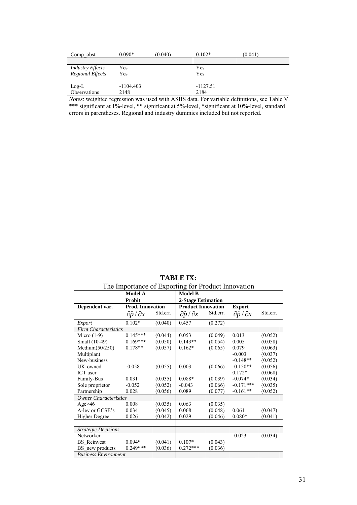| Comp obst               | $0.090*$    | (0.040) | $0.102*$   | (0.041) |
|-------------------------|-------------|---------|------------|---------|
| <b>Industry Effects</b> | Yes         |         | Yes        |         |
| Regional Effects        | Yes         |         | Yes        |         |
| $Log-L$                 | $-1104.403$ |         | $-1127.51$ |         |
| Observations            | 2148        |         | 2184       |         |

*Notes*: weighted regression was used with ASBS data. For variable definitions, see Table V. \*\*\* significant at 1%-level, \*\* significant at 5%-level, \*significant at 10%-level, standard errors in parentheses. Regional and industry dummies included but not reported.

**TABLE IX:**  The Importance of Exporting for Product Innovation

|                              | <b>Model A</b>                  |          | <b>Model B</b>                  |          |                                 |          |
|------------------------------|---------------------------------|----------|---------------------------------|----------|---------------------------------|----------|
|                              | Probit                          |          | <b>2-Stage Estimation</b>       |          |                                 |          |
| Dependent var.               | Prod. Innovation                |          | <b>Product Innovation</b>       |          | <b>Export</b>                   |          |
|                              | $\partial \hat{p} / \partial x$ | Std.err. | $\partial \hat{p} / \partial x$ | Std.err. | $\partial \hat{p} / \partial x$ | Std.err. |
| Export                       | $0.102*$                        | (0.040)  | 0.457                           | (0.272)  |                                 |          |
| <b>Firm Characteristics</b>  |                                 |          |                                 |          |                                 |          |
| Micro $(1-9)$                | $0.145***$                      | (0.044)  | 0.053                           | (0.049)  | 0.013                           | (0.052)  |
| Small (10-49)                | $0.169***$                      | (0.050)  | $0.143**$                       | (0.054)  | 0.005                           | (0.058)  |
| Medium(50/250)               | $0.178**$                       | (0.057)  | $0.162*$                        | (0.065)  | 0.079                           | (0.063)  |
| Multiplant                   |                                 |          |                                 |          | $-0.003$                        | (0.037)  |
| New-business                 |                                 |          |                                 |          | $-0.148**$                      | (0.052)  |
| UK-owned                     | $-0.058$                        | (0.055)  | 0.003                           | (0.066)  | $-0.150**$                      | (0.056)  |
| ICT user                     |                                 |          |                                 |          | $0.172*$                        | (0.068)  |
| Family-Bus                   | 0.031                           | (0.035)  | $0.088*$                        | (0.039)  | $-0.074*$                       | (0.034)  |
| Sole proprietor              | $-0.052$                        | (0.052)  | $-0.043$                        | (0.066)  | $-0.171***$                     | (0.035)  |
| Partnership                  | 0.028                           | (0.056)  | 0.089                           | (0.077)  | $-0.161**$                      | (0.052)  |
| <b>Owner Characteristics</b> |                                 |          |                                 |          |                                 |          |
| Age $>46$                    | 0.008                           | (0.035)  | 0.063                           | (0.035)  |                                 |          |
| A-lev or GCSE's              | 0.034                           | (0.045)  | 0.068                           | (0.048)  | 0.061                           | (0.047)  |
| Higher Degree                | 0.026                           | (0.042)  | 0.029                           | (0.046)  | $0.080*$                        | (0.041)  |
|                              |                                 |          |                                 |          |                                 |          |
| <b>Strategic Decisions</b>   |                                 |          |                                 |          |                                 |          |
| Networker                    |                                 |          |                                 |          | $-0.023$                        | (0.034)  |
| <b>BS</b> Reinvest           | $0.094*$                        | (0.041)  | $0.107*$                        | (0.043)  |                                 |          |
| BS new products              | $0.249***$                      | (0.036)  | $0.272***$                      | (0.036)  |                                 |          |
| <b>Business Environment</b>  |                                 |          |                                 |          |                                 |          |

*Business Environment*